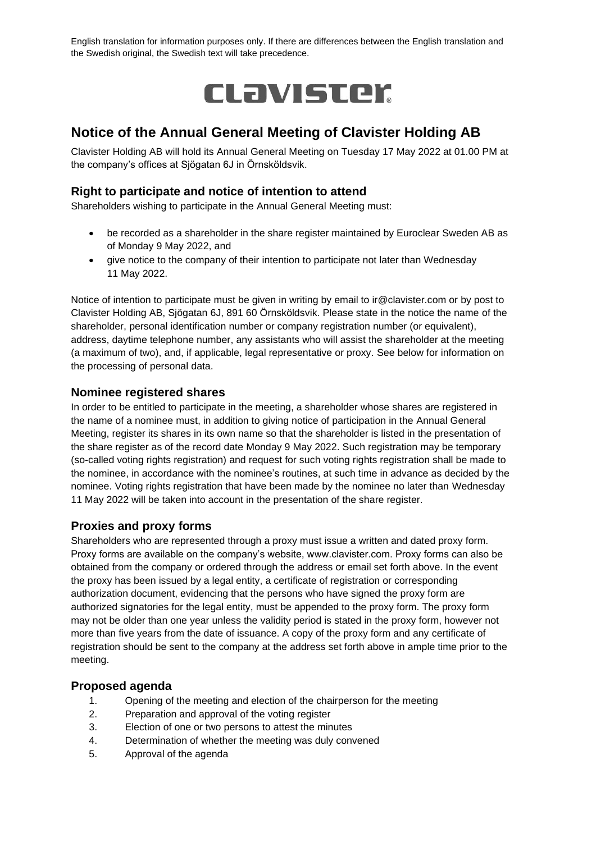English translation for information purposes only. If there are differences between the English translation and the Swedish original, the Swedish text will take precedence.



# **Notice of the Annual General Meeting of Clavister Holding AB**

Clavister Holding AB will hold its Annual General Meeting on Tuesday 17 May 2022 at 01.00 PM at the company's offices at Sjögatan 6J in Örnsköldsvik.

## **Right to participate and notice of intention to attend**

Shareholders wishing to participate in the Annual General Meeting must:

- be recorded as a shareholder in the share register maintained by Euroclear Sweden AB as of Monday 9 May 2022, and
- give notice to the company of their intention to participate not later than Wednesday 11 May 2022.

Notice of intention to participate must be given in writing by email to ir@clavister.com or by post to Clavister Holding AB, Sjögatan 6J, 891 60 Örnsköldsvik. Please state in the notice the name of the shareholder, personal identification number or company registration number (or equivalent), address, daytime telephone number, any assistants who will assist the shareholder at the meeting (a maximum of two), and, if applicable, legal representative or proxy. See below for information on the processing of personal data.

## **Nominee registered shares**

In order to be entitled to participate in the meeting, a shareholder whose shares are registered in the name of a nominee must, in addition to giving notice of participation in the Annual General Meeting, register its shares in its own name so that the shareholder is listed in the presentation of the share register as of the record date Monday 9 May 2022. Such registration may be temporary (so-called voting rights registration) and request for such voting rights registration shall be made to the nominee, in accordance with the nominee's routines, at such time in advance as decided by the nominee. Voting rights registration that have been made by the nominee no later than Wednesday 11 May 2022 will be taken into account in the presentation of the share register.

### **Proxies and proxy forms**

Shareholders who are represented through a proxy must issue a written and dated proxy form. Proxy forms are available on the company's website, www.clavister.com. Proxy forms can also be obtained from the company or ordered through the address or email set forth above. In the event the proxy has been issued by a legal entity, a certificate of registration or corresponding authorization document, evidencing that the persons who have signed the proxy form are authorized signatories for the legal entity, must be appended to the proxy form. The proxy form may not be older than one year unless the validity period is stated in the proxy form, however not more than five years from the date of issuance. A copy of the proxy form and any certificate of registration should be sent to the company at the address set forth above in ample time prior to the meeting.

### **Proposed agenda**

- 1. Opening of the meeting and election of the chairperson for the meeting
- 2. Preparation and approval of the voting register
- 3. Election of one or two persons to attest the minutes
- 4. Determination of whether the meeting was duly convened
- 5. Approval of the agenda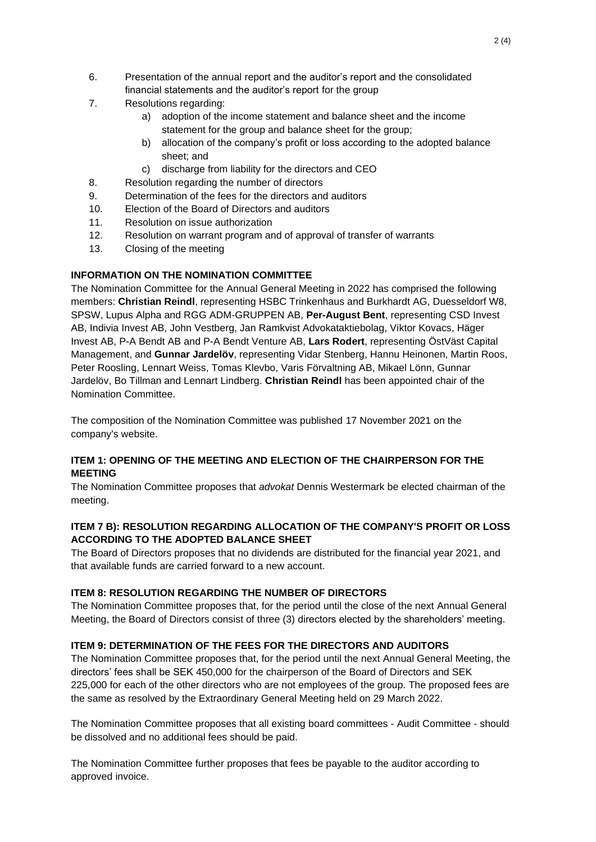- 6. Presentation of the annual report and the auditor's report and the consolidated financial statements and the auditor's report for the group
- 7. Resolutions regarding:
	- a) adoption of the income statement and balance sheet and the income statement for the group and balance sheet for the group;
	- b) allocation of the company's profit or loss according to the adopted balance sheet; and
	- c) discharge from liability for the directors and CEO
- 8. Resolution regarding the number of directors
- 9. Determination of the fees for the directors and auditors
- 10. Election of the Board of Directors and auditors
- 11. Resolution on issue authorization
- 12. Resolution on warrant program and of approval of transfer of warrants
- 13. Closing of the meeting

# **INFORMATION ON THE NOMINATION COMMITTEE**

The Nomination Committee for the Annual General Meeting in 2022 has comprised the following members: **Christian Reindl**, representing HSBC Trinkenhaus and Burkhardt AG, Duesseldorf W8, SPSW, Lupus Alpha and RGG ADM-GRUPPEN AB, **Per-August Bent**, representing CSD Invest AB, Indivia Invest AB, John Vestberg, Jan Ramkvist Advokataktiebolag, Viktor Kovacs, Häger Invest AB, P-A Bendt AB and P-A Bendt Venture AB, **Lars Rodert**, representing ÖstVäst Capital Management, and **Gunnar Jardelöv**, representing Vidar Stenberg, Hannu Heinonen, Martin Roos, Peter Roosling, Lennart Weiss, Tomas Klevbo, Varis Förvaltning AB, Mikael Lönn, Gunnar Jardelöv, Bo Tillman and Lennart Lindberg. **Christian Reindl** has been appointed chair of the Nomination Committee.

The composition of the Nomination Committee was published 17 November 2021 on the company's website.

## **ITEM 1: OPENING OF THE MEETING AND ELECTION OF THE CHAIRPERSON FOR THE MEETING**

The Nomination Committee proposes that *advokat* Dennis Westermark be elected chairman of the meeting.

## **ITEM 7 B): RESOLUTION REGARDING ALLOCATION OF THE COMPANY'S PROFIT OR LOSS ACCORDING TO THE ADOPTED BALANCE SHEET**

The Board of Directors proposes that no dividends are distributed for the financial year 2021, and that available funds are carried forward to a new account.

# **ITEM 8: RESOLUTION REGARDING THE NUMBER OF DIRECTORS**

The Nomination Committee proposes that, for the period until the close of the next Annual General Meeting, the Board of Directors consist of three (3) directors elected by the shareholders' meeting.

# **ITEM 9: DETERMINATION OF THE FEES FOR THE DIRECTORS AND AUDITORS**

The Nomination Committee proposes that, for the period until the next Annual General Meeting, the directors' fees shall be SEK 450,000 for the chairperson of the Board of Directors and SEK 225,000 for each of the other directors who are not employees of the group. The proposed fees are the same as resolved by the Extraordinary General Meeting held on 29 March 2022.

The Nomination Committee proposes that all existing board committees - Audit Committee - should be dissolved and no additional fees should be paid.

The Nomination Committee further proposes that fees be payable to the auditor according to approved invoice.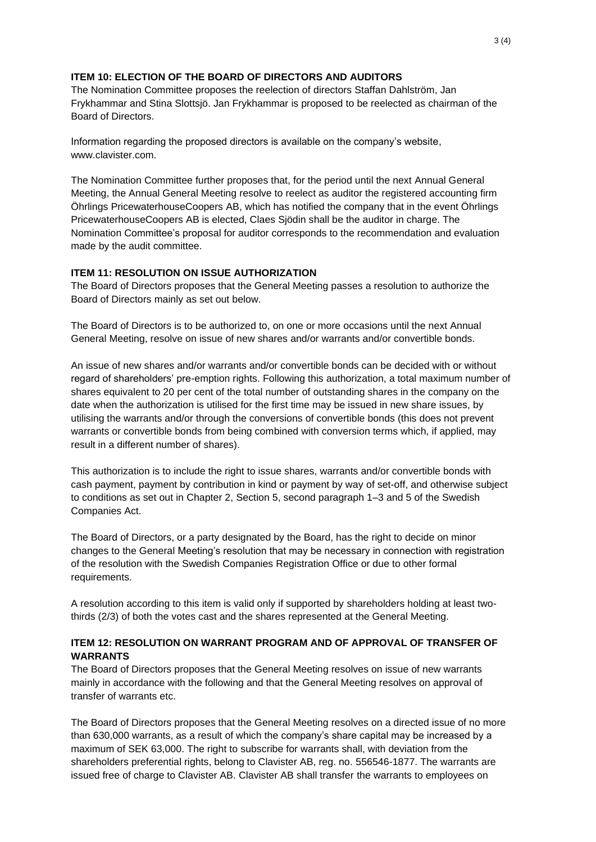### **ITEM 10: ELECTION OF THE BOARD OF DIRECTORS AND AUDITORS**

The Nomination Committee proposes the reelection of directors Staffan Dahlström, Jan Frykhammar and Stina Slottsjö. Jan Frykhammar is proposed to be reelected as chairman of the Board of Directors.

Information regarding the proposed directors is available on the company's website, www.clavister.com.

The Nomination Committee further proposes that, for the period until the next Annual General Meeting, the Annual General Meeting resolve to reelect as auditor the registered accounting firm Öhrlings PricewaterhouseCoopers AB, which has notified the company that in the event Öhrlings PricewaterhouseCoopers AB is elected, Claes Sjödin shall be the auditor in charge. The Nomination Committee's proposal for auditor corresponds to the recommendation and evaluation made by the audit committee.

## **ITEM 11: RESOLUTION ON ISSUE AUTHORIZATION**

The Board of Directors proposes that the General Meeting passes a resolution to authorize the Board of Directors mainly as set out below.

The Board of Directors is to be authorized to, on one or more occasions until the next Annual General Meeting, resolve on issue of new shares and/or warrants and/or convertible bonds.

An issue of new shares and/or warrants and/or convertible bonds can be decided with or without regard of shareholders' pre-emption rights. Following this authorization, a total maximum number of shares equivalent to 20 per cent of the total number of outstanding shares in the company on the date when the authorization is utilised for the first time may be issued in new share issues, by utilising the warrants and/or through the conversions of convertible bonds (this does not prevent warrants or convertible bonds from being combined with conversion terms which, if applied, may result in a different number of shares).

This authorization is to include the right to issue shares, warrants and/or convertible bonds with cash payment, payment by contribution in kind or payment by way of set-off, and otherwise subject to conditions as set out in Chapter 2, Section 5, second paragraph 1–3 and 5 of the Swedish Companies Act.

The Board of Directors, or a party designated by the Board, has the right to decide on minor changes to the General Meeting's resolution that may be necessary in connection with registration of the resolution with the Swedish Companies Registration Office or due to other formal requirements.

A resolution according to this item is valid only if supported by shareholders holding at least twothirds (2/3) of both the votes cast and the shares represented at the General Meeting.

# **ITEM 12: RESOLUTION ON WARRANT PROGRAM AND OF APPROVAL OF TRANSFER OF WARRANTS**

The Board of Directors proposes that the General Meeting resolves on issue of new warrants mainly in accordance with the following and that the General Meeting resolves on approval of transfer of warrants etc.

The Board of Directors proposes that the General Meeting resolves on a directed issue of no more than 630,000 warrants, as a result of which the company's share capital may be increased by a maximum of SEK 63,000. The right to subscribe for warrants shall, with deviation from the shareholders preferential rights, belong to Clavister AB, reg. no. 556546-1877. The warrants are issued free of charge to Clavister AB. Clavister AB shall transfer the warrants to employees on